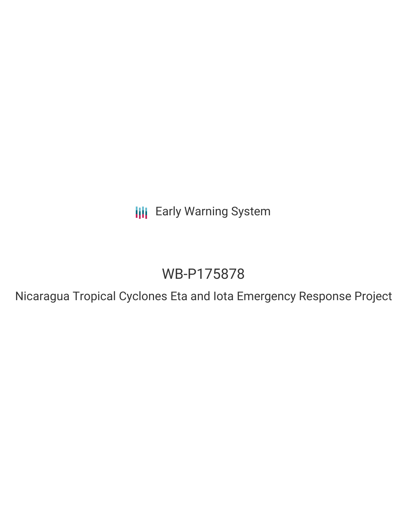**III** Early Warning System

# WB-P175878

Nicaragua Tropical Cyclones Eta and Iota Emergency Response Project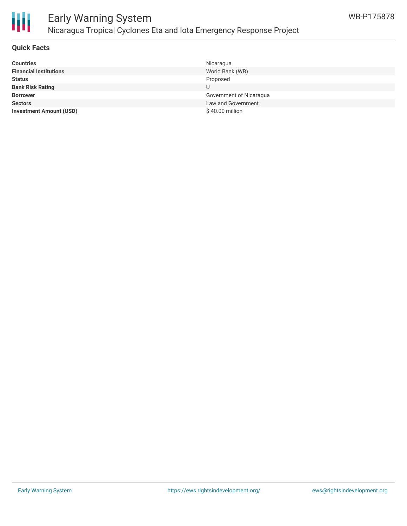

# Early Warning System Nicaragua Tropical Cyclones Eta and Iota Emergency Response Project

### **Quick Facts**

| <b>Countries</b>               | Nicaragua               |
|--------------------------------|-------------------------|
| <b>Financial Institutions</b>  | World Bank (WB)         |
| <b>Status</b>                  | Proposed                |
| <b>Bank Risk Rating</b>        | U                       |
| <b>Borrower</b>                | Government of Nicaragua |
| <b>Sectors</b>                 | Law and Government      |
| <b>Investment Amount (USD)</b> | \$40.00 million         |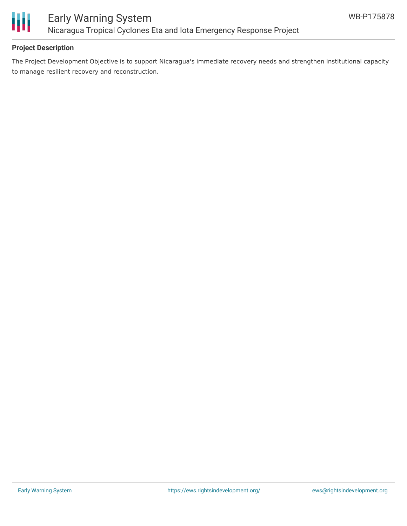

## **Project Description**

The Project Development Objective is to support Nicaragua's immediate recovery needs and strengthen institutional capacity to manage resilient recovery and reconstruction.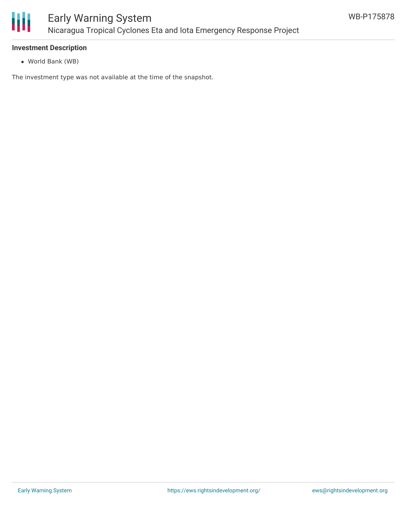

### **Investment Description**

World Bank (WB)

The investment type was not available at the time of the snapshot.